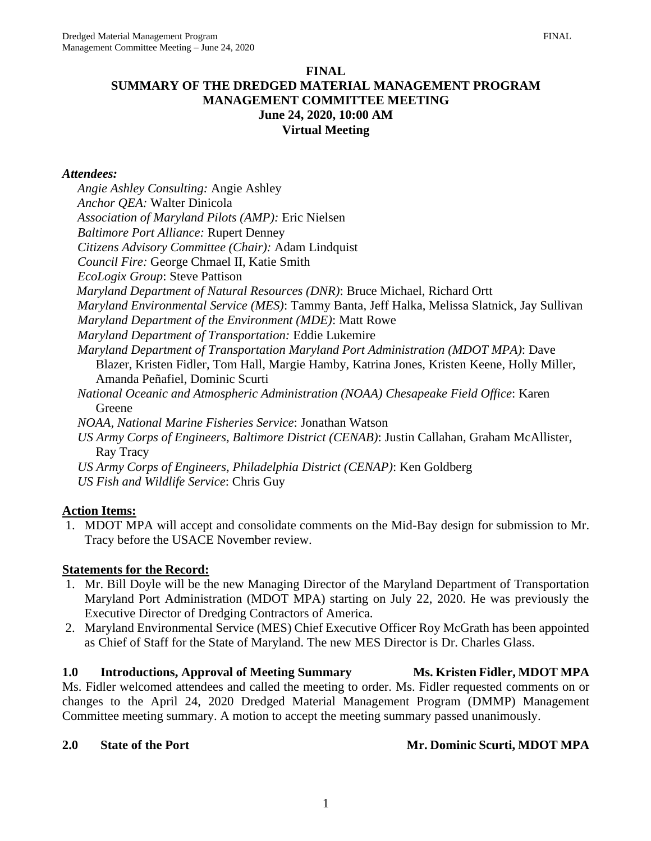*Angie Ashley Consulting:* Angie Ashley

#### **FINAL SUMMARY OF THE DREDGED MATERIAL MANAGEMENT PROGRAM MANAGEMENT COMMITTEE MEETING June 24, 2020, 10:00 AM Virtual Meeting**

#### *Attendees:*

*Anchor QEA:* Walter Dinicola *Association of Maryland Pilots (AMP):* Eric Nielsen *Baltimore Port Alliance:* Rupert Denney *Citizens Advisory Committee (Chair):* Adam Lindquist *Council Fire:* George Chmael II, Katie Smith *EcoLogix Group*: Steve Pattison *Maryland Department of Natural Resources (DNR)*: Bruce Michael, Richard Ortt *Maryland Environmental Service (MES)*: Tammy Banta, Jeff Halka, Melissa Slatnick, Jay Sullivan *Maryland Department of the Environment (MDE)*: Matt Rowe *Maryland Department of Transportation:* Eddie Lukemire *Maryland Department of Transportation Maryland Port Administration (MDOT MPA)*: Dave Blazer, Kristen Fidler, Tom Hall, Margie Hamby, Katrina Jones, Kristen Keene, Holly Miller, Amanda Peñafiel, Dominic Scurti *National Oceanic and Atmospheric Administration (NOAA) Chesapeake Field Office*: Karen Greene *NOAA, National Marine Fisheries Service*: Jonathan Watson *US Army Corps of Engineers, Baltimore District (CENAB)*: Justin Callahan, Graham McAllister, Ray Tracy *US Army Corps of Engineers, Philadelphia District (CENAP)*: Ken Goldberg *US Fish and Wildlife Service*: Chris Guy

## **Action Items:**

1. MDOT MPA will accept and consolidate comments on the Mid-Bay design for submission to Mr. Tracy before the USACE November review.

## **Statements for the Record:**

- 1. Mr. Bill Doyle will be the new Managing Director of the Maryland Department of Transportation Maryland Port Administration (MDOT MPA) starting on July 22, 2020. He was previously the Executive Director of Dredging Contractors of America.
- 2. Maryland Environmental Service (MES) Chief Executive Officer Roy McGrath has been appointed as Chief of Staff for the State of Maryland. The new MES Director is Dr. Charles Glass.

#### **1.0 Introductions, Approval of Meeting Summary Ms. Kristen Fidler, MDOT MPA**

Ms. Fidler welcomed attendees and called the meeting to order. Ms. Fidler requested comments on or changes to the April 24, 2020 Dredged Material Management Program (DMMP) Management Committee meeting summary. A motion to accept the meeting summary passed unanimously.

## 2.0 State of the Port Mr. Dominic Scurti, MDOT MPA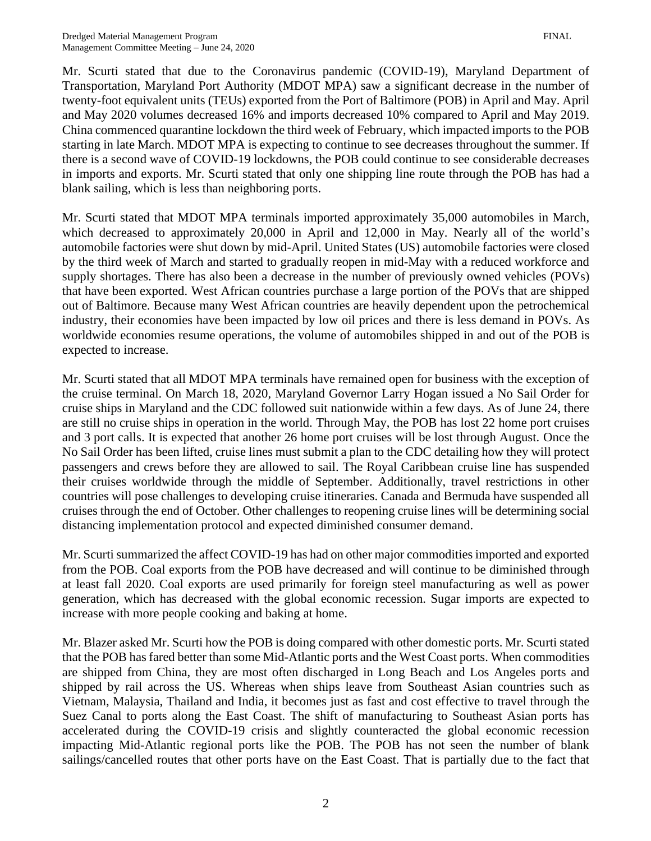Mr. Scurti stated that due to the Coronavirus pandemic (COVID-19), Maryland Department of Transportation, Maryland Port Authority (MDOT MPA) saw a significant decrease in the number of twenty-foot equivalent units (TEUs) exported from the Port of Baltimore (POB) in April and May. April and May 2020 volumes decreased 16% and imports decreased 10% compared to April and May 2019. China commenced quarantine lockdown the third week of February, which impacted imports to the POB starting in late March. MDOT MPA is expecting to continue to see decreases throughout the summer. If there is a second wave of COVID-19 lockdowns, the POB could continue to see considerable decreases in imports and exports. Mr. Scurti stated that only one shipping line route through the POB has had a blank sailing, which is less than neighboring ports.

Mr. Scurti stated that MDOT MPA terminals imported approximately 35,000 automobiles in March, which decreased to approximately 20,000 in April and 12,000 in May. Nearly all of the world's automobile factories were shut down by mid-April. United States (US) automobile factories were closed by the third week of March and started to gradually reopen in mid-May with a reduced workforce and supply shortages. There has also been a decrease in the number of previously owned vehicles (POVs) that have been exported. West African countries purchase a large portion of the POVs that are shipped out of Baltimore. Because many West African countries are heavily dependent upon the petrochemical industry, their economies have been impacted by low oil prices and there is less demand in POVs. As worldwide economies resume operations, the volume of automobiles shipped in and out of the POB is expected to increase.

Mr. Scurti stated that all MDOT MPA terminals have remained open for business with the exception of the cruise terminal. On March 18, 2020, Maryland Governor Larry Hogan issued a No Sail Order for cruise ships in Maryland and the CDC followed suit nationwide within a few days. As of June 24, there are still no cruise ships in operation in the world. Through May, the POB has lost 22 home port cruises and 3 port calls. It is expected that another 26 home port cruises will be lost through August. Once the No Sail Order has been lifted, cruise lines must submit a plan to the CDC detailing how they will protect passengers and crews before they are allowed to sail. The Royal Caribbean cruise line has suspended their cruises worldwide through the middle of September. Additionally, travel restrictions in other countries will pose challenges to developing cruise itineraries. Canada and Bermuda have suspended all cruises through the end of October. Other challenges to reopening cruise lines will be determining social distancing implementation protocol and expected diminished consumer demand.

Mr. Scurti summarized the affect COVID-19 has had on other major commodities imported and exported from the POB. Coal exports from the POB have decreased and will continue to be diminished through at least fall 2020. Coal exports are used primarily for foreign steel manufacturing as well as power generation, which has decreased with the global economic recession. Sugar imports are expected to increase with more people cooking and baking at home.

Mr. Blazer asked Mr. Scurti how the POB is doing compared with other domestic ports. Mr. Scurti stated that the POB has fared better than some Mid-Atlantic ports and the West Coast ports. When commodities are shipped from China, they are most often discharged in Long Beach and Los Angeles ports and shipped by rail across the US. Whereas when ships leave from Southeast Asian countries such as Vietnam, Malaysia, Thailand and India, it becomes just as fast and cost effective to travel through the Suez Canal to ports along the East Coast. The shift of manufacturing to Southeast Asian ports has accelerated during the COVID-19 crisis and slightly counteracted the global economic recession impacting Mid-Atlantic regional ports like the POB. The POB has not seen the number of blank sailings/cancelled routes that other ports have on the East Coast. That is partially due to the fact that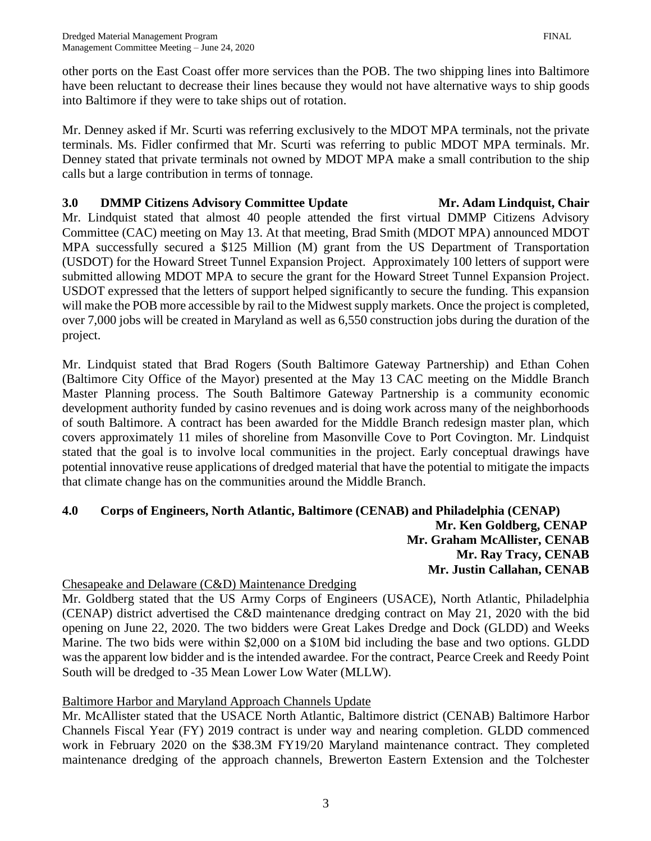other ports on the East Coast offer more services than the POB. The two shipping lines into Baltimore have been reluctant to decrease their lines because they would not have alternative ways to ship goods into Baltimore if they were to take ships out of rotation.

Mr. Denney asked if Mr. Scurti was referring exclusively to the MDOT MPA terminals, not the private terminals. Ms. Fidler confirmed that Mr. Scurti was referring to public MDOT MPA terminals. Mr. Denney stated that private terminals not owned by MDOT MPA make a small contribution to the ship calls but a large contribution in terms of tonnage.

## **3.0 DMMP Citizens Advisory Committee Update Mr. Adam Lindquist, Chair** Mr. Lindquist stated that almost 40 people attended the first virtual DMMP Citizens Advisory Committee (CAC) meeting on May 13. At that meeting, Brad Smith (MDOT MPA) announced MDOT MPA successfully secured a \$125 Million (M) grant from the US Department of Transportation (USDOT) for the Howard Street Tunnel Expansion Project. Approximately 100 letters of support were submitted allowing MDOT MPA to secure the grant for the Howard Street Tunnel Expansion Project. USDOT expressed that the letters of support helped significantly to secure the funding. This expansion will make the POB more accessible by rail to the Midwest supply markets. Once the project is completed, over 7,000 jobs will be created in Maryland as well as 6,550 construction jobs during the duration of the project.

Mr. Lindquist stated that Brad Rogers (South Baltimore Gateway Partnership) and Ethan Cohen (Baltimore City Office of the Mayor) presented at the May 13 CAC meeting on the Middle Branch Master Planning process. The South Baltimore Gateway Partnership is a community economic development authority funded by casino revenues and is doing work across many of the neighborhoods of south Baltimore. A contract has been awarded for the Middle Branch redesign master plan, which covers approximately 11 miles of shoreline from Masonville Cove to Port Covington. Mr. Lindquist stated that the goal is to involve local communities in the project. Early conceptual drawings have potential innovative reuse applications of dredged material that have the potential to mitigate the impacts that climate change has on the communities around the Middle Branch.

#### **4.0 Corps of Engineers, North Atlantic, Baltimore (CENAB) and Philadelphia (CENAP) Mr. Ken Goldberg, CENAP Mr. Graham McAllister, CENAB Mr. Ray Tracy, CENAB Mr. Justin Callahan, CENAB**

# Chesapeake and Delaware (C&D) Maintenance Dredging

Mr. Goldberg stated that the US Army Corps of Engineers (USACE), North Atlantic, Philadelphia (CENAP) district advertised the C&D maintenance dredging contract on May 21, 2020 with the bid opening on June 22, 2020. The two bidders were Great Lakes Dredge and Dock (GLDD) and Weeks Marine. The two bids were within \$2,000 on a \$10M bid including the base and two options. GLDD was the apparent low bidder and is the intended awardee. For the contract, Pearce Creek and Reedy Point South will be dredged to -35 Mean Lower Low Water (MLLW).

# Baltimore Harbor and Maryland Approach Channels Update

Mr. McAllister stated that the USACE North Atlantic, Baltimore district (CENAB) Baltimore Harbor Channels Fiscal Year (FY) 2019 contract is under way and nearing completion. GLDD commenced work in February 2020 on the \$38.3M FY19/20 Maryland maintenance contract. They completed maintenance dredging of the approach channels, Brewerton Eastern Extension and the Tolchester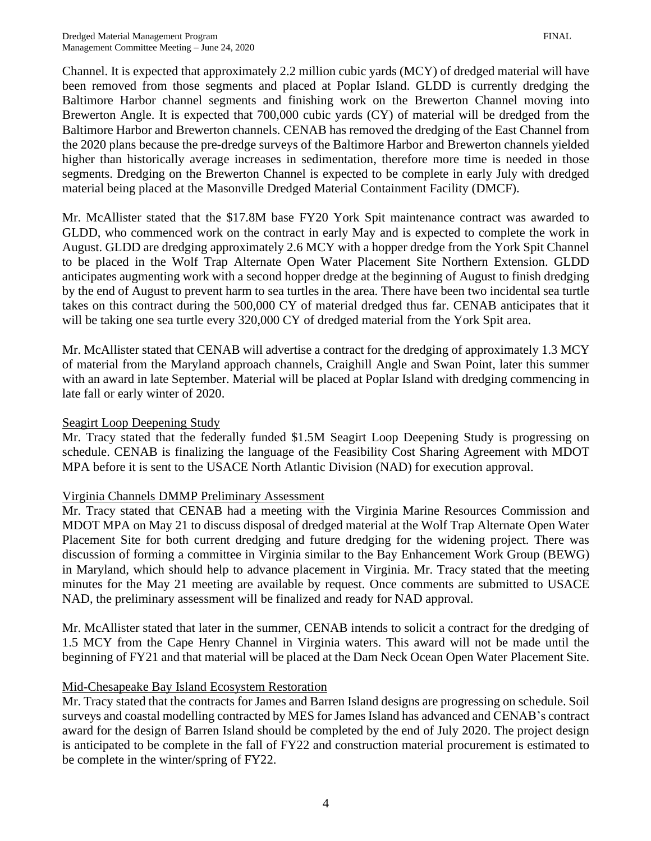Channel. It is expected that approximately 2.2 million cubic yards (MCY) of dredged material will have been removed from those segments and placed at Poplar Island. GLDD is currently dredging the Baltimore Harbor channel segments and finishing work on the Brewerton Channel moving into Brewerton Angle. It is expected that 700,000 cubic yards (CY) of material will be dredged from the Baltimore Harbor and Brewerton channels. CENAB has removed the dredging of the East Channel from the 2020 plans because the pre-dredge surveys of the Baltimore Harbor and Brewerton channels yielded higher than historically average increases in sedimentation, therefore more time is needed in those segments. Dredging on the Brewerton Channel is expected to be complete in early July with dredged material being placed at the Masonville Dredged Material Containment Facility (DMCF).

Mr. McAllister stated that the \$17.8M base FY20 York Spit maintenance contract was awarded to GLDD, who commenced work on the contract in early May and is expected to complete the work in August. GLDD are dredging approximately 2.6 MCY with a hopper dredge from the York Spit Channel to be placed in the Wolf Trap Alternate Open Water Placement Site Northern Extension. GLDD anticipates augmenting work with a second hopper dredge at the beginning of August to finish dredging by the end of August to prevent harm to sea turtles in the area. There have been two incidental sea turtle takes on this contract during the 500,000 CY of material dredged thus far. CENAB anticipates that it will be taking one sea turtle every 320,000 CY of dredged material from the York Spit area.

Mr. McAllister stated that CENAB will advertise a contract for the dredging of approximately 1.3 MCY of material from the Maryland approach channels, Craighill Angle and Swan Point, later this summer with an award in late September. Material will be placed at Poplar Island with dredging commencing in late fall or early winter of 2020.

#### Seagirt Loop Deepening Study

Mr. Tracy stated that the federally funded \$1.5M Seagirt Loop Deepening Study is progressing on schedule. CENAB is finalizing the language of the Feasibility Cost Sharing Agreement with MDOT MPA before it is sent to the USACE North Atlantic Division (NAD) for execution approval.

## Virginia Channels DMMP Preliminary Assessment

Mr. Tracy stated that CENAB had a meeting with the Virginia Marine Resources Commission and MDOT MPA on May 21 to discuss disposal of dredged material at the Wolf Trap Alternate Open Water Placement Site for both current dredging and future dredging for the widening project. There was discussion of forming a committee in Virginia similar to the Bay Enhancement Work Group (BEWG) in Maryland, which should help to advance placement in Virginia. Mr. Tracy stated that the meeting minutes for the May 21 meeting are available by request. Once comments are submitted to USACE NAD, the preliminary assessment will be finalized and ready for NAD approval.

Mr. McAllister stated that later in the summer, CENAB intends to solicit a contract for the dredging of 1.5 MCY from the Cape Henry Channel in Virginia waters. This award will not be made until the beginning of FY21 and that material will be placed at the Dam Neck Ocean Open Water Placement Site.

## Mid-Chesapeake Bay Island Ecosystem Restoration

Mr. Tracy stated that the contracts for James and Barren Island designs are progressing on schedule. Soil surveys and coastal modelling contracted by MES for James Island has advanced and CENAB's contract award for the design of Barren Island should be completed by the end of July 2020. The project design is anticipated to be complete in the fall of FY22 and construction material procurement is estimated to be complete in the winter/spring of FY22.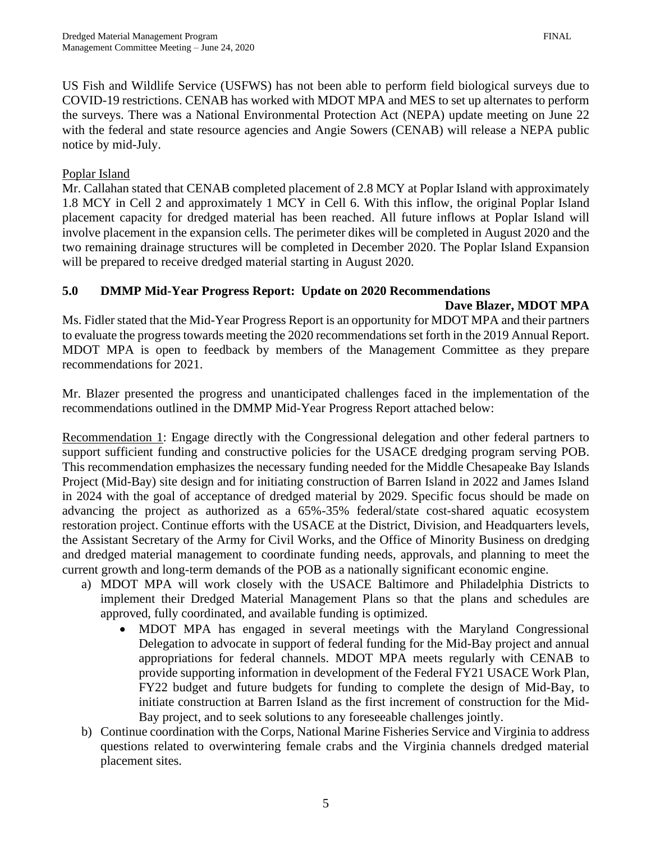US Fish and Wildlife Service (USFWS) has not been able to perform field biological surveys due to COVID-19 restrictions. CENAB has worked with MDOT MPA and MES to set up alternates to perform the surveys. There was a National Environmental Protection Act (NEPA) update meeting on June 22 with the federal and state resource agencies and Angie Sowers (CENAB) will release a NEPA public notice by mid-July.

#### Poplar Island

Mr. Callahan stated that CENAB completed placement of 2.8 MCY at Poplar Island with approximately 1.8 MCY in Cell 2 and approximately 1 MCY in Cell 6. With this inflow, the original Poplar Island placement capacity for dredged material has been reached. All future inflows at Poplar Island will involve placement in the expansion cells. The perimeter dikes will be completed in August 2020 and the two remaining drainage structures will be completed in December 2020. The Poplar Island Expansion will be prepared to receive dredged material starting in August 2020.

## **5.0 DMMP Mid-Year Progress Report: Update on 2020 Recommendations**

#### **Dave Blazer, MDOT MPA**

Ms. Fidler stated that the Mid-Year Progress Report is an opportunity for MDOT MPA and their partners to evaluate the progress towards meeting the 2020 recommendations set forth in the 2019 Annual Report. MDOT MPA is open to feedback by members of the Management Committee as they prepare recommendations for 2021.

Mr. Blazer presented the progress and unanticipated challenges faced in the implementation of the recommendations outlined in the DMMP Mid-Year Progress Report attached below:

Recommendation 1: Engage directly with the Congressional delegation and other federal partners to support sufficient funding and constructive policies for the USACE dredging program serving POB. This recommendation emphasizes the necessary funding needed for the Middle Chesapeake Bay Islands Project (Mid-Bay) site design and for initiating construction of Barren Island in 2022 and James Island in 2024 with the goal of acceptance of dredged material by 2029. Specific focus should be made on advancing the project as authorized as a 65%-35% federal/state cost-shared aquatic ecosystem restoration project. Continue efforts with the USACE at the District, Division, and Headquarters levels, the Assistant Secretary of the Army for Civil Works, and the Office of Minority Business on dredging and dredged material management to coordinate funding needs, approvals, and planning to meet the current growth and long-term demands of the POB as a nationally significant economic engine.

- a) MDOT MPA will work closely with the USACE Baltimore and Philadelphia Districts to implement their Dredged Material Management Plans so that the plans and schedules are approved, fully coordinated, and available funding is optimized.
	- MDOT MPA has engaged in several meetings with the Maryland Congressional Delegation to advocate in support of federal funding for the Mid-Bay project and annual appropriations for federal channels. MDOT MPA meets regularly with CENAB to provide supporting information in development of the Federal FY21 USACE Work Plan, FY22 budget and future budgets for funding to complete the design of Mid-Bay, to initiate construction at Barren Island as the first increment of construction for the Mid-Bay project, and to seek solutions to any foreseeable challenges jointly.
- b) Continue coordination with the Corps, National Marine Fisheries Service and Virginia to address questions related to overwintering female crabs and the Virginia channels dredged material placement sites.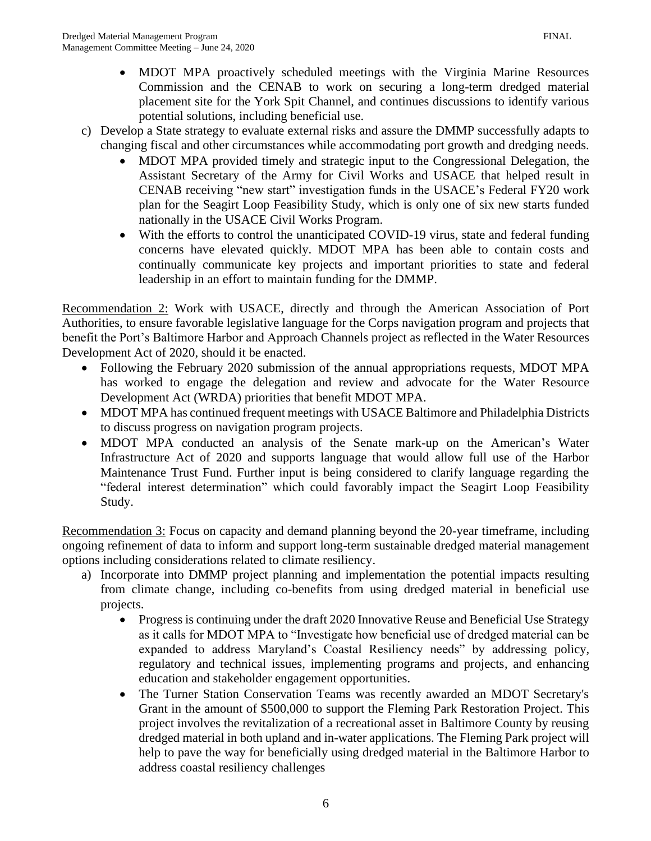- MDOT MPA proactively scheduled meetings with the Virginia Marine Resources Commission and the CENAB to work on securing a long-term dredged material placement site for the York Spit Channel, and continues discussions to identify various potential solutions, including beneficial use.
- c) Develop a State strategy to evaluate external risks and assure the DMMP successfully adapts to changing fiscal and other circumstances while accommodating port growth and dredging needs.
	- MDOT MPA provided timely and strategic input to the Congressional Delegation, the Assistant Secretary of the Army for Civil Works and USACE that helped result in CENAB receiving "new start" investigation funds in the USACE's Federal FY20 work plan for the Seagirt Loop Feasibility Study, which is only one of six new starts funded nationally in the USACE Civil Works Program.
	- With the efforts to control the unanticipated COVID-19 virus, state and federal funding concerns have elevated quickly. MDOT MPA has been able to contain costs and continually communicate key projects and important priorities to state and federal leadership in an effort to maintain funding for the DMMP.

Recommendation 2: Work with USACE, directly and through the American Association of Port Authorities, to ensure favorable legislative language for the Corps navigation program and projects that benefit the Port's Baltimore Harbor and Approach Channels project as reflected in the Water Resources Development Act of 2020, should it be enacted.

- Following the February 2020 submission of the annual appropriations requests, MDOT MPA has worked to engage the delegation and review and advocate for the Water Resource Development Act (WRDA) priorities that benefit MDOT MPA.
- MDOT MPA has continued frequent meetings with USACE Baltimore and Philadelphia Districts to discuss progress on navigation program projects.
- MDOT MPA conducted an analysis of the Senate mark-up on the American's Water Infrastructure Act of 2020 and supports language that would allow full use of the Harbor Maintenance Trust Fund. Further input is being considered to clarify language regarding the "federal interest determination" which could favorably impact the Seagirt Loop Feasibility Study.

Recommendation 3: Focus on capacity and demand planning beyond the 20-year timeframe, including ongoing refinement of data to inform and support long-term sustainable dredged material management options including considerations related to climate resiliency.

- a) Incorporate into DMMP project planning and implementation the potential impacts resulting from climate change, including co-benefits from using dredged material in beneficial use projects.
	- Progress is continuing under the draft 2020 Innovative Reuse and Beneficial Use Strategy as it calls for MDOT MPA to "Investigate how beneficial use of dredged material can be expanded to address Maryland's Coastal Resiliency needs" by addressing policy, regulatory and technical issues, implementing programs and projects, and enhancing education and stakeholder engagement opportunities.
	- The Turner Station Conservation Teams was recently awarded an MDOT Secretary's Grant in the amount of \$500,000 to support the Fleming Park Restoration Project. This project involves the revitalization of a recreational asset in Baltimore County by reusing dredged material in both upland and in-water applications. The Fleming Park project will help to pave the way for beneficially using dredged material in the Baltimore Harbor to address coastal resiliency challenges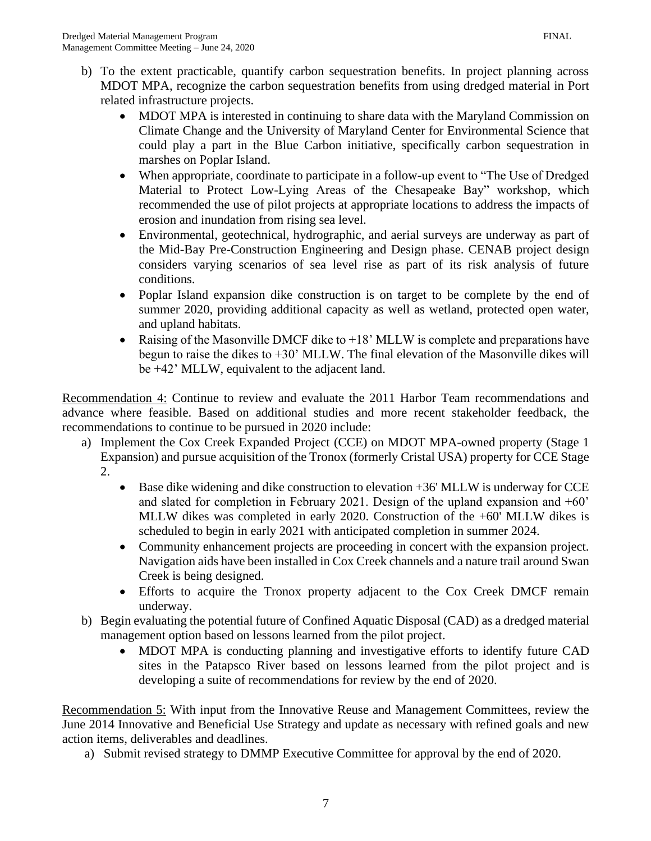- b) To the extent practicable, quantify carbon sequestration benefits. In project planning across MDOT MPA, recognize the carbon sequestration benefits from using dredged material in Port related infrastructure projects.
	- MDOT MPA is interested in continuing to share data with the Maryland Commission on Climate Change and the University of Maryland Center for Environmental Science that could play a part in the Blue Carbon initiative, specifically carbon sequestration in marshes on Poplar Island.
	- When appropriate, coordinate to participate in a follow-up event to "The Use of Dredged" Material to Protect Low-Lying Areas of the Chesapeake Bay" workshop, which recommended the use of pilot projects at appropriate locations to address the impacts of erosion and inundation from rising sea level.
	- Environmental, geotechnical, hydrographic, and aerial surveys are underway as part of the Mid-Bay Pre-Construction Engineering and Design phase. CENAB project design considers varying scenarios of sea level rise as part of its risk analysis of future conditions.
	- Poplar Island expansion dike construction is on target to be complete by the end of summer 2020, providing additional capacity as well as wetland, protected open water, and upland habitats.
	- Raising of the Masonville DMCF dike to +18' MLLW is complete and preparations have begun to raise the dikes to  $+30$ ' MLLW. The final elevation of the Masonville dikes will be +42' MLLW, equivalent to the adjacent land.

Recommendation 4: Continue to review and evaluate the 2011 Harbor Team recommendations and advance where feasible. Based on additional studies and more recent stakeholder feedback, the recommendations to continue to be pursued in 2020 include:

- a) Implement the Cox Creek Expanded Project (CCE) on MDOT MPA-owned property (Stage 1 Expansion) and pursue acquisition of the Tronox (formerly Cristal USA) property for CCE Stage 2.
	- Base dike widening and dike construction to elevation +36' MLLW is underway for CCE and slated for completion in February 2021. Design of the upland expansion and +60' MLLW dikes was completed in early 2020. Construction of the +60' MLLW dikes is scheduled to begin in early 2021 with anticipated completion in summer 2024.
	- Community enhancement projects are proceeding in concert with the expansion project. Navigation aids have been installed in Cox Creek channels and a nature trail around Swan Creek is being designed.
	- Efforts to acquire the Tronox property adjacent to the Cox Creek DMCF remain underway.
- b) Begin evaluating the potential future of Confined Aquatic Disposal (CAD) as a dredged material management option based on lessons learned from the pilot project.
	- MDOT MPA is conducting planning and investigative efforts to identify future CAD sites in the Patapsco River based on lessons learned from the pilot project and is developing a suite of recommendations for review by the end of 2020.

Recommendation 5: With input from the Innovative Reuse and Management Committees, review the June 2014 Innovative and Beneficial Use Strategy and update as necessary with refined goals and new action items, deliverables and deadlines.

a) Submit revised strategy to DMMP Executive Committee for approval by the end of 2020.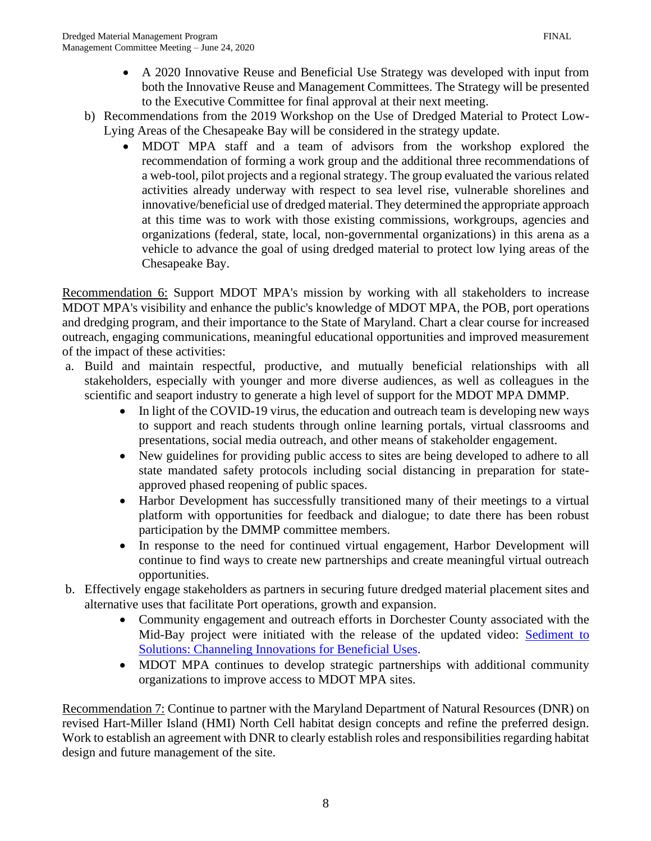- A 2020 Innovative Reuse and Beneficial Use Strategy was developed with input from both the Innovative Reuse and Management Committees. The Strategy will be presented to the Executive Committee for final approval at their next meeting.
- b) Recommendations from the 2019 Workshop on the Use of Dredged Material to Protect Low-Lying Areas of the Chesapeake Bay will be considered in the strategy update.
	- MDOT MPA staff and a team of advisors from the workshop explored the recommendation of forming a work group and the additional three recommendations of a web-tool, pilot projects and a regional strategy. The group evaluated the various related activities already underway with respect to sea level rise, vulnerable shorelines and innovative/beneficial use of dredged material. They determined the appropriate approach at this time was to work with those existing commissions, workgroups, agencies and organizations (federal, state, local, non-governmental organizations) in this arena as a vehicle to advance the goal of using dredged material to protect low lying areas of the Chesapeake Bay.

Recommendation 6: Support MDOT MPA's mission by working with all stakeholders to increase MDOT MPA's visibility and enhance the public's knowledge of MDOT MPA, the POB, port operations and dredging program, and their importance to the State of Maryland. Chart a clear course for increased outreach, engaging communications, meaningful educational opportunities and improved measurement of the impact of these activities:

- a. Build and maintain respectful, productive, and mutually beneficial relationships with all stakeholders, especially with younger and more diverse audiences, as well as colleagues in the scientific and seaport industry to generate a high level of support for the MDOT MPA DMMP.
	- In light of the COVID-19 virus, the education and outreach team is developing new ways to support and reach students through online learning portals, virtual classrooms and presentations, social media outreach, and other means of stakeholder engagement.
	- New guidelines for providing public access to sites are being developed to adhere to all state mandated safety protocols including social distancing in preparation for stateapproved phased reopening of public spaces.
	- Harbor Development has successfully transitioned many of their meetings to a virtual platform with opportunities for feedback and dialogue; to date there has been robust participation by the DMMP committee members.
	- In response to the need for continued virtual engagement, Harbor Development will continue to find ways to create new partnerships and create meaningful virtual outreach opportunities.
- b. Effectively engage stakeholders as partners in securing future dredged material placement sites and alternative uses that facilitate Port operations, growth and expansion.
	- Community engagement and outreach efforts in Dorchester County associated with the Mid-Bay project were initiated with the release of the updated video: Sediment to [Solutions: Channeling Innovations for Beneficial Uses.](https://bit.ly/SedimentToSolutions)
	- MDOT MPA continues to develop strategic partnerships with additional community organizations to improve access to MDOT MPA sites.

Recommendation 7: Continue to partner with the Maryland Department of Natural Resources (DNR) on revised Hart-Miller Island (HMI) North Cell habitat design concepts and refine the preferred design. Work to establish an agreement with DNR to clearly establish roles and responsibilities regarding habitat design and future management of the site.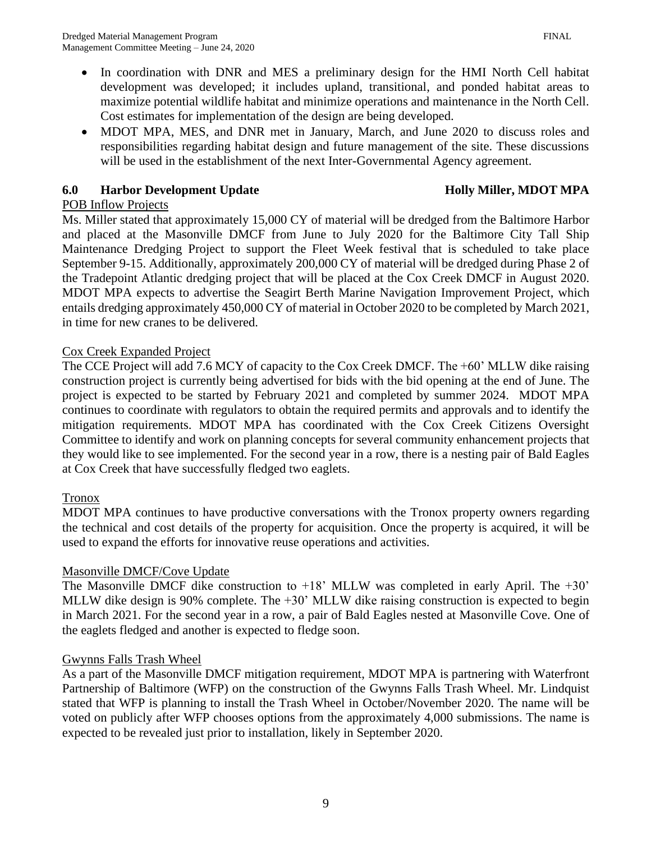- In coordination with DNR and MES a preliminary design for the HMI North Cell habitat development was developed; it includes upland, transitional, and ponded habitat areas to maximize potential wildlife habitat and minimize operations and maintenance in the North Cell. Cost estimates for implementation of the design are being developed.
- MDOT MPA, MES, and DNR met in January, March, and June 2020 to discuss roles and responsibilities regarding habitat design and future management of the site. These discussions will be used in the establishment of the next Inter-Governmental Agency agreement.

## **6.0 Harbor Development Update Holly Miller, MDOT MPA**

## POB Inflow Projects

Ms. Miller stated that approximately 15,000 CY of material will be dredged from the Baltimore Harbor and placed at the Masonville DMCF from June to July 2020 for the Baltimore City Tall Ship Maintenance Dredging Project to support the Fleet Week festival that is scheduled to take place September 9-15. Additionally, approximately 200,000 CY of material will be dredged during Phase 2 of the Tradepoint Atlantic dredging project that will be placed at the Cox Creek DMCF in August 2020. MDOT MPA expects to advertise the Seagirt Berth Marine Navigation Improvement Project, which entails dredging approximately 450,000 CY of material in October 2020 to be completed by March 2021, in time for new cranes to be delivered.

## Cox Creek Expanded Project

The CCE Project will add 7.6 MCY of capacity to the Cox Creek DMCF. The +60' MLLW dike raising construction project is currently being advertised for bids with the bid opening at the end of June. The project is expected to be started by February 2021 and completed by summer 2024. MDOT MPA continues to coordinate with regulators to obtain the required permits and approvals and to identify the mitigation requirements. MDOT MPA has coordinated with the Cox Creek Citizens Oversight Committee to identify and work on planning concepts for several community enhancement projects that they would like to see implemented. For the second year in a row, there is a nesting pair of Bald Eagles at Cox Creek that have successfully fledged two eaglets.

## Tronox

MDOT MPA continues to have productive conversations with the Tronox property owners regarding the technical and cost details of the property for acquisition. Once the property is acquired, it will be used to expand the efforts for innovative reuse operations and activities.

## Masonville DMCF/Cove Update

The Masonville DMCF dike construction to  $+18$ ' MLLW was completed in early April. The  $+30$ ' MLLW dike design is 90% complete. The  $+30$ ' MLLW dike raising construction is expected to begin in March 2021. For the second year in a row, a pair of Bald Eagles nested at Masonville Cove. One of the eaglets fledged and another is expected to fledge soon.

## Gwynns Falls Trash Wheel

As a part of the Masonville DMCF mitigation requirement, MDOT MPA is partnering with Waterfront Partnership of Baltimore (WFP) on the construction of the Gwynns Falls Trash Wheel. Mr. Lindquist stated that WFP is planning to install the Trash Wheel in October/November 2020. The name will be voted on publicly after WFP chooses options from the approximately 4,000 submissions. The name is expected to be revealed just prior to installation, likely in September 2020.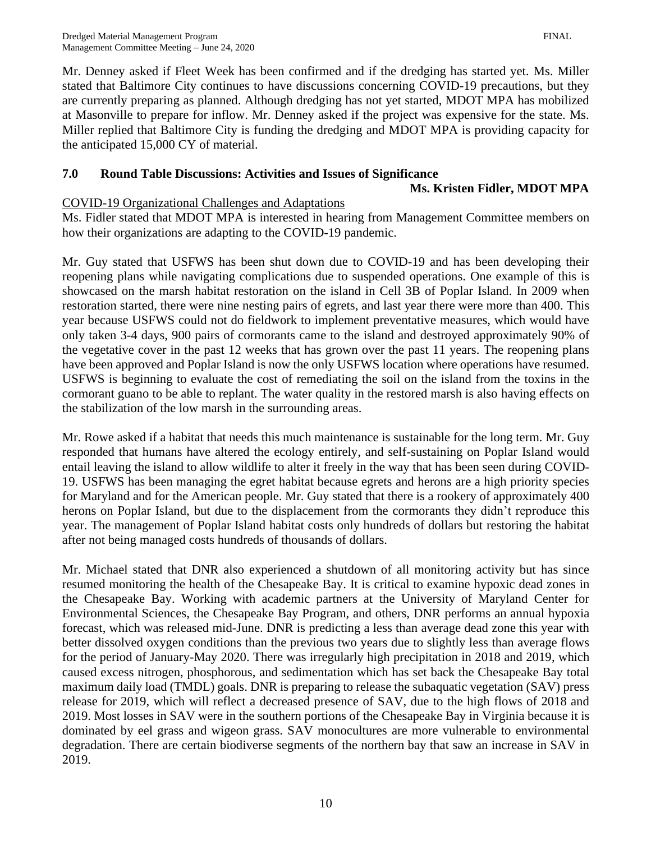the anticipated 15,000 CY of material.

Mr. Denney asked if Fleet Week has been confirmed and if the dredging has started yet. Ms. Miller stated that Baltimore City continues to have discussions concerning COVID-19 precautions, but they are currently preparing as planned. Although dredging has not yet started, MDOT MPA has mobilized at Masonville to prepare for inflow. Mr. Denney asked if the project was expensive for the state. Ms. Miller replied that Baltimore City is funding the dredging and MDOT MPA is providing capacity for

# **7.0 Round Table Discussions: Activities and Issues of Significance**

#### **Ms. Kristen Fidler, MDOT MPA**

## COVID-19 Organizational Challenges and Adaptations

Ms. Fidler stated that MDOT MPA is interested in hearing from Management Committee members on how their organizations are adapting to the COVID-19 pandemic.

Mr. Guy stated that USFWS has been shut down due to COVID-19 and has been developing their reopening plans while navigating complications due to suspended operations. One example of this is showcased on the marsh habitat restoration on the island in Cell 3B of Poplar Island. In 2009 when restoration started, there were nine nesting pairs of egrets, and last year there were more than 400. This year because USFWS could not do fieldwork to implement preventative measures, which would have only taken 3-4 days, 900 pairs of cormorants came to the island and destroyed approximately 90% of the vegetative cover in the past 12 weeks that has grown over the past 11 years. The reopening plans have been approved and Poplar Island is now the only USFWS location where operations have resumed. USFWS is beginning to evaluate the cost of remediating the soil on the island from the toxins in the cormorant guano to be able to replant. The water quality in the restored marsh is also having effects on the stabilization of the low marsh in the surrounding areas.

Mr. Rowe asked if a habitat that needs this much maintenance is sustainable for the long term. Mr. Guy responded that humans have altered the ecology entirely, and self-sustaining on Poplar Island would entail leaving the island to allow wildlife to alter it freely in the way that has been seen during COVID-19. USFWS has been managing the egret habitat because egrets and herons are a high priority species for Maryland and for the American people. Mr. Guy stated that there is a rookery of approximately 400 herons on Poplar Island, but due to the displacement from the cormorants they didn't reproduce this year. The management of Poplar Island habitat costs only hundreds of dollars but restoring the habitat after not being managed costs hundreds of thousands of dollars.

Mr. Michael stated that DNR also experienced a shutdown of all monitoring activity but has since resumed monitoring the health of the Chesapeake Bay. It is critical to examine hypoxic dead zones in the Chesapeake Bay. Working with academic partners at the University of Maryland Center for Environmental Sciences, the Chesapeake Bay Program, and others, DNR performs an annual hypoxia forecast, which was released mid-June. DNR is predicting a less than average dead zone this year with better dissolved oxygen conditions than the previous two years due to slightly less than average flows for the period of January-May 2020. There was irregularly high precipitation in 2018 and 2019, which caused excess nitrogen, phosphorous, and sedimentation which has set back the Chesapeake Bay total maximum daily load (TMDL) goals. DNR is preparing to release the subaquatic vegetation (SAV) press release for 2019, which will reflect a decreased presence of SAV, due to the high flows of 2018 and 2019. Most losses in SAV were in the southern portions of the Chesapeake Bay in Virginia because it is dominated by eel grass and wigeon grass. SAV monocultures are more vulnerable to environmental degradation. There are certain biodiverse segments of the northern bay that saw an increase in SAV in 2019.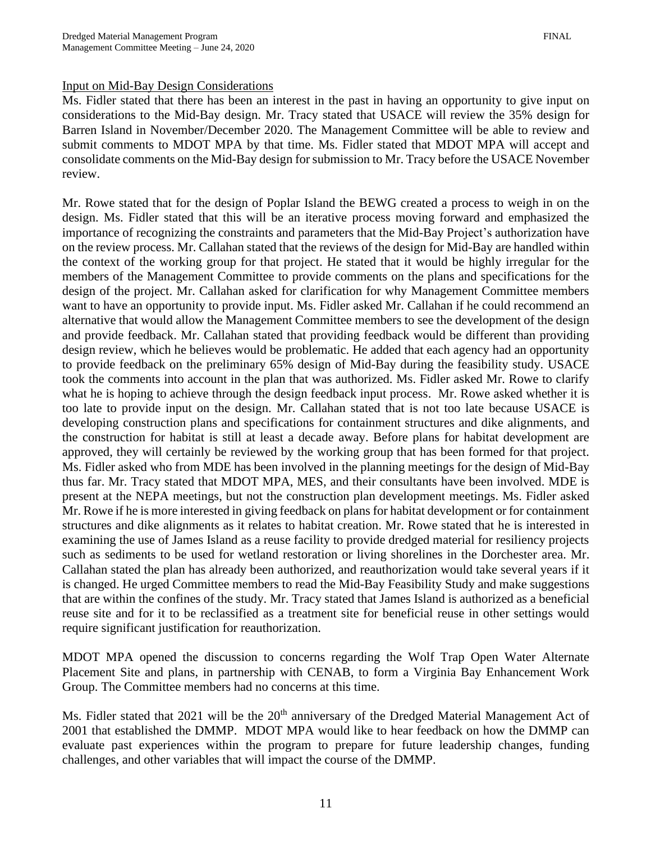Ms. Fidler stated that there has been an interest in the past in having an opportunity to give input on considerations to the Mid-Bay design. Mr. Tracy stated that USACE will review the 35% design for Barren Island in November/December 2020. The Management Committee will be able to review and submit comments to MDOT MPA by that time. Ms. Fidler stated that MDOT MPA will accept and consolidate comments on the Mid-Bay design for submission to Mr. Tracy before the USACE November review.

Mr. Rowe stated that for the design of Poplar Island the BEWG created a process to weigh in on the design. Ms. Fidler stated that this will be an iterative process moving forward and emphasized the importance of recognizing the constraints and parameters that the Mid-Bay Project's authorization have on the review process. Mr. Callahan stated that the reviews of the design for Mid-Bay are handled within the context of the working group for that project. He stated that it would be highly irregular for the members of the Management Committee to provide comments on the plans and specifications for the design of the project. Mr. Callahan asked for clarification for why Management Committee members want to have an opportunity to provide input. Ms. Fidler asked Mr. Callahan if he could recommend an alternative that would allow the Management Committee members to see the development of the design and provide feedback. Mr. Callahan stated that providing feedback would be different than providing design review, which he believes would be problematic. He added that each agency had an opportunity to provide feedback on the preliminary 65% design of Mid-Bay during the feasibility study. USACE took the comments into account in the plan that was authorized. Ms. Fidler asked Mr. Rowe to clarify what he is hoping to achieve through the design feedback input process. Mr. Rowe asked whether it is too late to provide input on the design. Mr. Callahan stated that is not too late because USACE is developing construction plans and specifications for containment structures and dike alignments, and the construction for habitat is still at least a decade away. Before plans for habitat development are approved, they will certainly be reviewed by the working group that has been formed for that project. Ms. Fidler asked who from MDE has been involved in the planning meetings for the design of Mid-Bay thus far. Mr. Tracy stated that MDOT MPA, MES, and their consultants have been involved. MDE is present at the NEPA meetings, but not the construction plan development meetings. Ms. Fidler asked Mr. Rowe if he is more interested in giving feedback on plans for habitat development or for containment structures and dike alignments as it relates to habitat creation. Mr. Rowe stated that he is interested in examining the use of James Island as a reuse facility to provide dredged material for resiliency projects such as sediments to be used for wetland restoration or living shorelines in the Dorchester area. Mr. Callahan stated the plan has already been authorized, and reauthorization would take several years if it is changed. He urged Committee members to read the Mid-Bay Feasibility Study and make suggestions that are within the confines of the study. Mr. Tracy stated that James Island is authorized as a beneficial reuse site and for it to be reclassified as a treatment site for beneficial reuse in other settings would require significant justification for reauthorization.

MDOT MPA opened the discussion to concerns regarding the Wolf Trap Open Water Alternate Placement Site and plans, in partnership with CENAB, to form a Virginia Bay Enhancement Work Group. The Committee members had no concerns at this time.

Ms. Fidler stated that 2021 will be the 20<sup>th</sup> anniversary of the Dredged Material Management Act of 2001 that established the DMMP. MDOT MPA would like to hear feedback on how the DMMP can evaluate past experiences within the program to prepare for future leadership changes, funding challenges, and other variables that will impact the course of the DMMP.